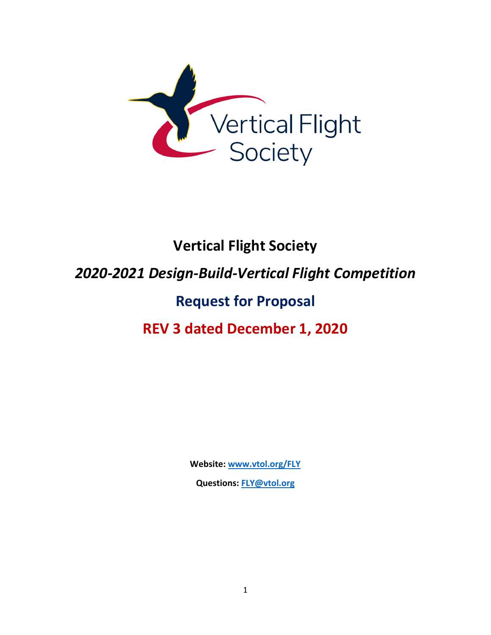

# **Vertical Flight Society**  *2020-2021 Design-Build-Vertical Flight Competition* **Request for Proposal REV 3 dated December 1, 2020**

**Website: [www.vtol.org/FLY](http://www.vtol.org/FLY)**

**Questions: [FLY@vtol.org](mailto:FLY@vtol.org)**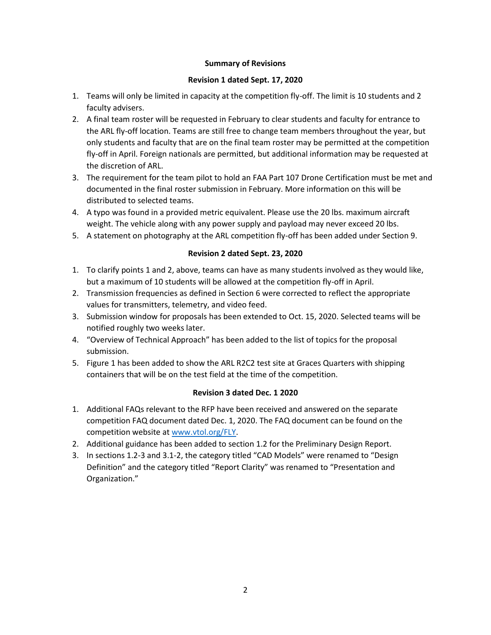# **Summary of Revisions**

# **Revision 1 dated Sept. 17, 2020**

- 1. Teams will only be limited in capacity at the competition fly-off. The limit is 10 students and 2 faculty advisers.
- 2. A final team roster will be requested in February to clear students and faculty for entrance to the ARL fly-off location. Teams are still free to change team members throughout the year, but only students and faculty that are on the final team roster may be permitted at the competition fly-off in April. Foreign nationals are permitted, but additional information may be requested at the discretion of ARL.
- 3. The requirement for the team pilot to hold an FAA Part 107 Drone Certification must be met and documented in the final roster submission in February. More information on this will be distributed to selected teams.
- 4. A typo was found in a provided metric equivalent. Please use the 20 lbs. maximum aircraft weight. The vehicle along with any power supply and payload may never exceed 20 lbs.
- 5. A statement on photography at the ARL competition fly-off has been added under Section 9.

# **Revision 2 dated Sept. 23, 2020**

- 1. To clarify points 1 and 2, above, teams can have as many students involved as they would like, but a maximum of 10 students will be allowed at the competition fly-off in April.
- 2. Transmission frequencies as defined in Section 6 were corrected to reflect the appropriate values for transmitters, telemetry, and video feed.
- 3. Submission window for proposals has been extended to Oct. 15, 2020. Selected teams will be notified roughly two weeks later.
- 4. "Overview of Technical Approach" has been added to the list of topics for the proposal submission.
- 5. Figure 1 has been added to show the ARL R2C2 test site at Graces Quarters with shipping containers that will be on the test field at the time of the competition.

# **Revision 3 dated Dec. 1 2020**

- 1. Additional FAQs relevant to the RFP have been received and answered on the separate competition FAQ document dated Dec. 1, 2020. The FAQ document can be found on the competition website at [www.vtol.org/FLY.](http://www.vtol.org/FLY)
- 2. Additional guidance has been added to section 1.2 for the Preliminary Design Report.
- 3. In sections 1.2-3 and 3.1-2, the category titled "CAD Models" were renamed to "Design Definition" and the category titled "Report Clarity" was renamed to "Presentation and Organization."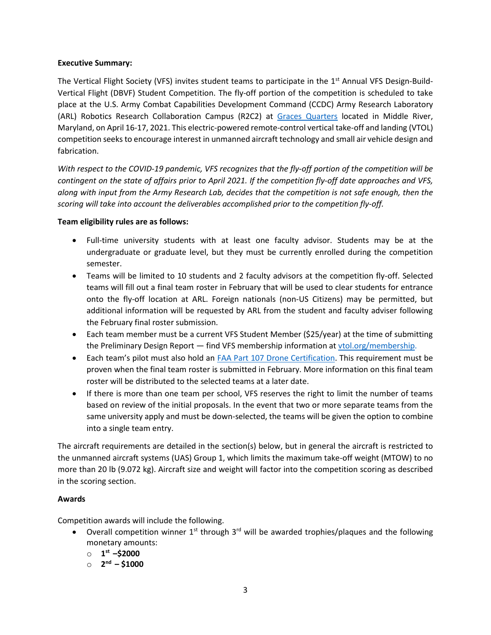# **Executive Summary:**

The Vertical Flight Society (VFS) invites student teams to participate in the 1<sup>st</sup> Annual VFS Design-Build-Vertical Flight (DBVF) Student Competition. The fly-off portion of the competition is scheduled to take place at the U.S. Army Combat Capabilities Development Command (CCDC) Army Research Laboratory (ARL) Robotics Research Collaboration Campus (R2C2) at Graces [Quarters](https://goo.gl/maps/wSPkbYkEzAKhL2iz8) located in Middle River, Maryland, on April 16-17, 2021. This electric-powered remote-control vertical take-off and landing (VTOL) competition seeks to encourage interest in unmanned aircraft technology and small air vehicle design and fabrication.

*With respect to the COVID-19 pandemic, VFS recognizes that the fly-off portion of the competition will be contingent on the state of affairs prior to April 2021. If the competition fly-off date approaches and VFS, along with input from the Army Research Lab, decides that the competition is not safe enough, then the scoring will take into account the deliverables accomplished prior to the competition fly-off.* 

#### **Team eligibility rules are as follows:**

- Full-time university students with at least one faculty advisor. Students may be at the undergraduate or graduate level, but they must be currently enrolled during the competition semester.
- Teams will be limited to 10 students and 2 faculty advisors at the competition fly-off. Selected teams will fill out a final team roster in February that will be used to clear students for entrance onto the fly-off location at ARL. Foreign nationals (non-US Citizens) may be permitted, but additional information will be requested by ARL from the student and faculty adviser following the February final roster submission.
- Each team member must be a current VFS Student Member (\$25/year) at the time of submitting the Preliminary Design Report - find VFS membership information at [vtol.org/membership.](https://vtol.org/membership)
- Each team's pilot must also hold an [FAA Part 107 Drone Certification.](https://www.faa.gov/uas/commercial_operators/become_a_drone_pilot/) This requirement must be proven when the final team roster is submitted in February. More information on this final team roster will be distributed to the selected teams at a later date.
- If there is more than one team per school, VFS reserves the right to limit the number of teams based on review of the initial proposals. In the event that two or more separate teams from the same university apply and must be down-selected, the teams will be given the option to combine into a single team entry.

The aircraft requirements are detailed in the section(s) below, but in general the aircraft is restricted to the unmanned aircraft systems (UAS) Group 1, which limits the maximum take-off weight (MTOW) to no more than 20 lb (9.072 kg). Aircraft size and weight will factor into the competition scoring as described in the scoring section.

# **Awards**

Competition awards will include the following.

- Overall competition winner  $1^{st}$  through  $3^{rd}$  will be awarded trophies/plaques and the following monetary amounts:
	- o **1 st –\$2000**
	- o **2 nd – \$1000**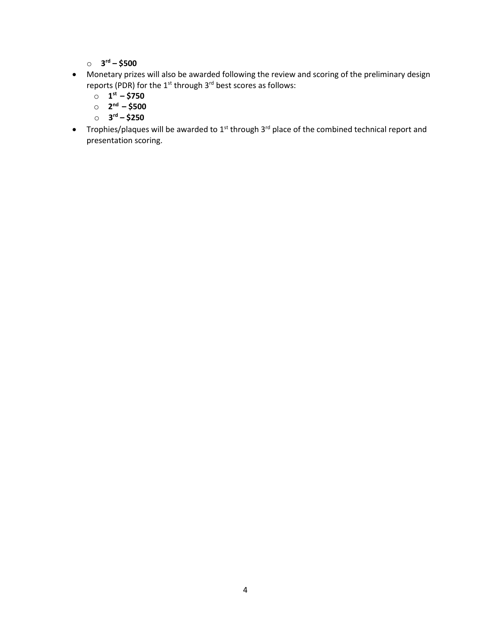o **3 rd – \$500**

- Monetary prizes will also be awarded following the review and scoring of the preliminary design reports (PDR) for the 1<sup>st</sup> through 3<sup>rd</sup> best scores as follows:
	- o **1 st – \$750**
	- o **2 nd – \$500**
	- o **3 rd – \$250**
- Trophies/plaques will be awarded to  $1^{st}$  through  $3^{rd}$  place of the combined technical report and presentation scoring.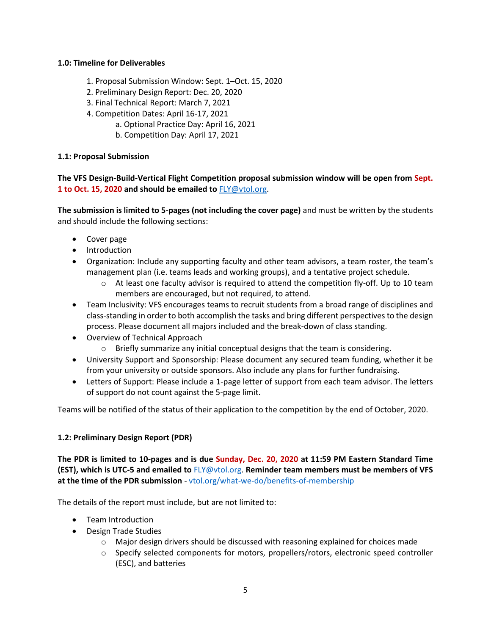# **1.0: Timeline for Deliverables**

- 1. Proposal Submission Window: Sept. 1–Oct. 15, 2020
- 2. Preliminary Design Report: Dec. 20, 2020
- 3. Final Technical Report: March 7, 2021
- 4. Competition Dates: April 16-17, 2021
	- a. Optional Practice Day: April 16, 2021
	- b. Competition Day: April 17, 2021

# **1.1: Proposal Submission**

**The VFS Design-Build-Vertical Flight Competition proposal submission window will be open from Sept. 1 to Oct. 15, 2020 and should be emailed to** [FLY@vtol.org.](mailto:FLY@vtol.org)

**The submission is limited to 5-pages (not including the cover page)** and must be written by the students and should include the following sections:

- Cover page
- Introduction
- Organization: Include any supporting faculty and other team advisors, a team roster, the team's management plan (i.e. teams leads and working groups), and a tentative project schedule.
	- $\circ$  At least one faculty advisor is required to attend the competition fly-off. Up to 10 team members are encouraged, but not required, to attend.
- Team Inclusivity: VFS encourages teams to recruit students from a broad range of disciplines and class-standing in order to both accomplish the tasks and bring different perspectives to the design process. Please document all majors included and the break-down of class standing.
- Overview of Technical Approach
	- $\circ$  Briefly summarize any initial conceptual designs that the team is considering.
- University Support and Sponsorship: Please document any secured team funding, whether it be from your university or outside sponsors. Also include any plans for further fundraising.
- Letters of Support: Please include a 1-page letter of support from each team advisor. The letters of support do not count against the 5-page limit.

Teams will be notified of the status of their application to the competition by the end of October, 2020.

# **1.2: Preliminary Design Report (PDR)**

**The PDR is limited to 10-pages and is due Sunday, Dec. 20, 2020 at 11:59 PM Eastern Standard Time (EST), which is UTC-5 and emailed to** [FLY@vtol.org.](mailto:FLY@vtol.org) **Reminder team members must be members of VFS at the time of the PDR submission** - [vtol.org/what-we-do/benefits-of-membership](https://vtol.org/what-we-do/benefits-of-membership)

The details of the report must include, but are not limited to:

- Team Introduction
- Design Trade Studies
	- $\circ$  Major design drivers should be discussed with reasoning explained for choices made
	- o Specify selected components for motors, propellers/rotors, electronic speed controller (ESC), and batteries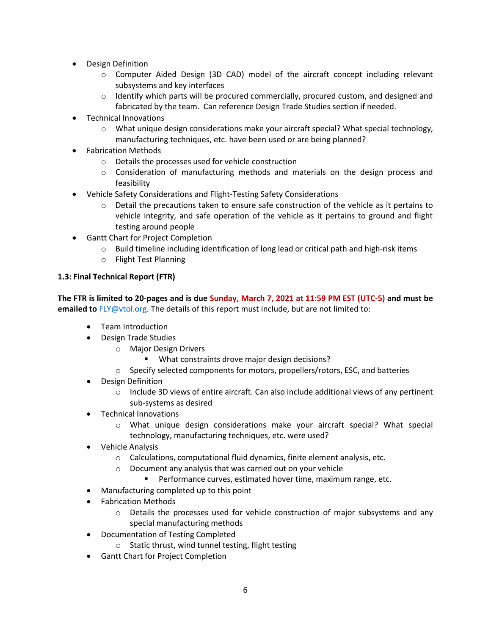- Design Definition
	- o Computer Aided Design (3D CAD) model of the aircraft concept including relevant subsystems and key interfaces
	- $\circ$  Identify which parts will be procured commercially, procured custom, and designed and fabricated by the team. Can reference Design Trade Studies section if needed.
- Technical Innovations
	- $\circ$  What unique design considerations make your aircraft special? What special technology, manufacturing techniques, etc. have been used or are being planned?
- Fabrication Methods
	- o Details the processes used for vehicle construction
	- $\circ$  Consideration of manufacturing methods and materials on the design process and feasibility
- Vehicle Safety Considerations and Flight-Testing Safety Considerations
	- $\circ$  Detail the precautions taken to ensure safe construction of the vehicle as it pertains to vehicle integrity, and safe operation of the vehicle as it pertains to ground and flight testing around people
- Gantt Chart for Project Completion
	- $\circ$  Build timeline including identification of long lead or critical path and high-risk items
	- o Flight Test Planning

# **1.3: Final Technical Report (FTR)**

**The FTR is limited to 20-pages and is due Sunday, March 7, 2021 at 11:59 PM EST (UTC-5) and must be emailed to** [FLY@vtol.org.](mailto:FLY@vtol.org) The details of this report must include, but are not limited to:

- Team Introduction
- Design Trade Studies
	- o Major Design Drivers
		- **What constraints drove major design decisions?**
	- o Specify selected components for motors, propellers/rotors, ESC, and batteries
- Design Definition
	- $\circ$  Include 3D views of entire aircraft. Can also include additional views of any pertinent sub-systems as desired
- Technical Innovations
	- o What unique design considerations make your aircraft special? What special technology, manufacturing techniques, etc. were used?
- Vehicle Analysis
	- o Calculations, computational fluid dynamics, finite element analysis, etc.
	- o Document any analysis that was carried out on your vehicle
		- Performance curves, estimated hover time, maximum range, etc.
- Manufacturing completed up to this point
- Fabrication Methods
	- $\circ$  Details the processes used for vehicle construction of major subsystems and any special manufacturing methods
- Documentation of Testing Completed
	- o Static thrust, wind tunnel testing, flight testing
- Gantt Chart for Project Completion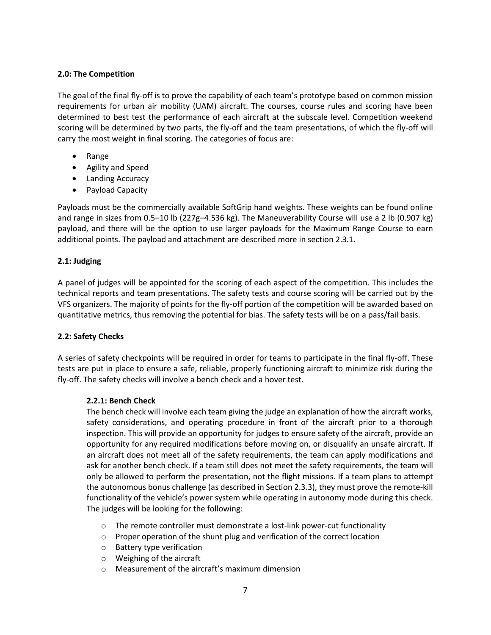# **2.0: The Competition**

The goal of the final fly-off is to prove the capability of each team's prototype based on common mission requirements for urban air mobility (UAM) aircraft. The courses, course rules and scoring have been determined to best test the performance of each aircraft at the subscale level. Competition weekend scoring will be determined by two parts, the fly-off and the team presentations, of which the fly-off will carry the most weight in final scoring. The categories of focus are:

- Range
- Agility and Speed
- Landing Accuracy
- Payload Capacity

Payloads must be the commercially available SoftGrip hand weights. These weights can be found online and range in sizes from 0.5–10 lb (227g–4.536 kg). The Maneuverability Course will use a 2 lb (0.907 kg) payload, and there will be the option to use larger payloads for the Maximum Range Course to earn additional points. The payload and attachment are described more in section 2.3.1.

# **2.1: Judging**

A panel of judges will be appointed for the scoring of each aspect of the competition. This includes the technical reports and team presentations. The safety tests and course scoring will be carried out by the VFS organizers. The majority of points for the fly-off portion of the competition will be awarded based on quantitative metrics, thus removing the potential for bias. The safety tests will be on a pass/fail basis.

# **2.2: Safety Checks**

A series of safety checkpoints will be required in order for teams to participate in the final fly-off. These tests are put in place to ensure a safe, reliable, properly functioning aircraft to minimize risk during the fly-off. The safety checks will involve a bench check and a hover test.

# **2.2.1: Bench Check**

The bench check will involve each team giving the judge an explanation of how the aircraft works, safety considerations, and operating procedure in front of the aircraft prior to a thorough inspection. This will provide an opportunity for judges to ensure safety of the aircraft, provide an opportunity for any required modifications before moving on, or disqualify an unsafe aircraft. If an aircraft does not meet all of the safety requirements, the team can apply modifications and ask for another bench check. If a team still does not meet the safety requirements, the team will only be allowed to perform the presentation, not the flight missions. If a team plans to attempt the autonomous bonus challenge (as described in Section 2.3.3), they must prove the remote-kill functionality of the vehicle's power system while operating in autonomy mode during this check. The judges will be looking for the following:

- $\circ$  The remote controller must demonstrate a lost-link power-cut functionality
- o Proper operation of the shunt plug and verification of the correct location
- o Battery type verification
- o Weighing of the aircraft
- o Measurement of the aircraft's maximum dimension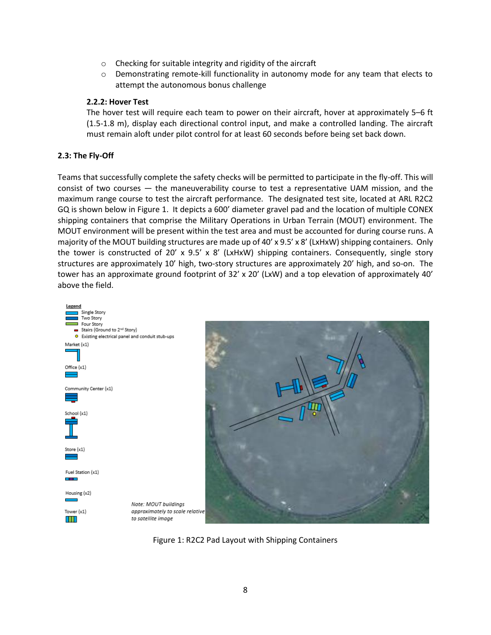- o Checking for suitable integrity and rigidity of the aircraft
- $\circ$  Demonstrating remote-kill functionality in autonomy mode for any team that elects to attempt the autonomous bonus challenge

#### **2.2.2: Hover Test**

The hover test will require each team to power on their aircraft, hover at approximately 5–6 ft (1.5-1.8 m), display each directional control input, and make a controlled landing. The aircraft must remain aloft under pilot control for at least 60 seconds before being set back down.

# **2.3: The Fly-Off**

Teams that successfully complete the safety checks will be permitted to participate in the fly-off. This will consist of two courses — the maneuverability course to test a representative UAM mission, and the maximum range course to test the aircraft performance. The designated test site, located at ARL R2C2 GQ is shown below in Figure 1. It depicts a 600' diameter gravel pad and the location of multiple CONEX shipping containers that comprise the Military Operations in Urban Terrain (MOUT) environment. The MOUT environment will be present within the test area and must be accounted for during course runs. A majority of the MOUT building structures are made up of 40' x 9.5' x 8' (LxHxW) shipping containers. Only the tower is constructed of 20' x 9.5' x 8' (LxHxW) shipping containers. Consequently, single story structures are approximately 10' high, two-story structures are approximately 20' high, and so-on. The tower has an approximate ground footprint of 32' x 20' (LxW) and a top elevation of approximately 40' above the field.





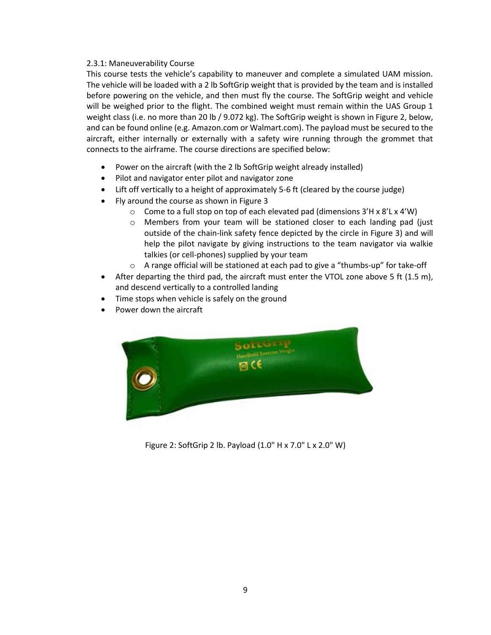# 2.3.1: Maneuverability Course

This course tests the vehicle's capability to maneuver and complete a simulated UAM mission. The vehicle will be loaded with a 2 lb SoftGrip weight that is provided by the team and is installed before powering on the vehicle, and then must fly the course. The SoftGrip weight and vehicle will be weighed prior to the flight. The combined weight must remain within the UAS Group 1 weight class (i.e. no more than 20 lb / 9.072 kg). The SoftGrip weight is shown in Figure 2, below, and can be found online (e.g. Amazon.com or Walmart.com). The payload must be secured to the aircraft, either internally or externally with a safety wire running through the grommet that connects to the airframe. The course directions are specified below:

- Power on the aircraft (with the 2 lb SoftGrip weight already installed)
- Pilot and navigator enter pilot and navigator zone
- Lift off vertically to a height of approximately 5-6 ft (cleared by the course judge)
- Fly around the course as shown in Figure 3
	- o Come to a full stop on top of each elevated pad (dimensions 3'H x 8'L x 4'W)
	- o Members from your team will be stationed closer to each landing pad (just outside of the chain-link safety fence depicted by the circle in Figure 3) and will help the pilot navigate by giving instructions to the team navigator via walkie talkies (or cell-phones) supplied by your team
	- o A range official will be stationed at each pad to give a "thumbs-up" for take-off
- After departing the third pad, the aircraft must enter the VTOL zone above 5 ft (1.5 m), and descend vertically to a controlled landing
- Time stops when vehicle is safely on the ground
- Power down the aircraft



Figure 2: SoftGrip 2 lb. Payload (1.0" H x 7.0" L x 2.0" W)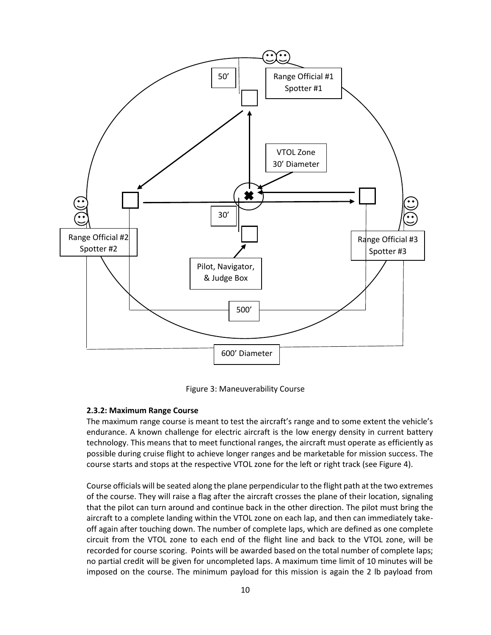

Figure 3: Maneuverability Course

# **2.3.2: Maximum Range Course**

The maximum range course is meant to test the aircraft's range and to some extent the vehicle's endurance. A known challenge for electric aircraft is the low energy density in current battery technology. This means that to meet functional ranges, the aircraft must operate as efficiently as possible during cruise flight to achieve longer ranges and be marketable for mission success. The course starts and stops at the respective VTOL zone for the left or right track (see Figure 4).

Course officials will be seated along the plane perpendicular to the flight path at the two extremes of the course. They will raise a flag after the aircraft crosses the plane of their location, signaling that the pilot can turn around and continue back in the other direction. The pilot must bring the aircraft to a complete landing within the VTOL zone on each lap, and then can immediately takeoff again after touching down. The number of complete laps, which are defined as one complete circuit from the VTOL zone to each end of the flight line and back to the VTOL zone, will be recorded for course scoring. Points will be awarded based on the total number of complete laps; no partial credit will be given for uncompleted laps. A maximum time limit of 10 minutes will be imposed on the course. The minimum payload for this mission is again the 2 lb payload from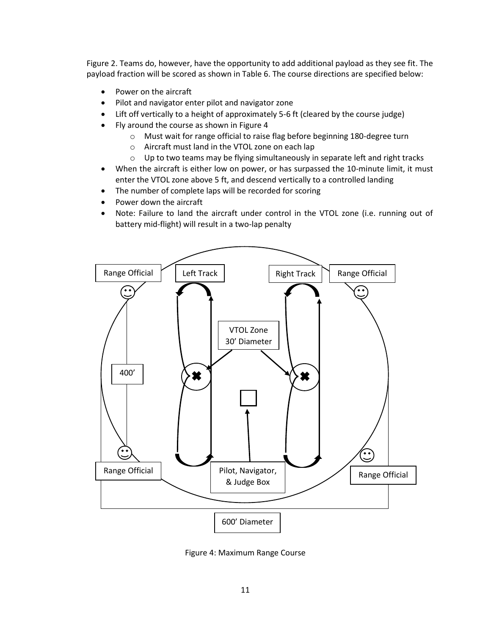Figure 2. Teams do, however, have the opportunity to add additional payload as they see fit. The payload fraction will be scored as shown in Table 6. The course directions are specified below:

- Power on the aircraft
- Pilot and navigator enter pilot and navigator zone
- Lift off vertically to a height of approximately 5-6 ft (cleared by the course judge)
- Fly around the course as shown in Figure 4
	- o Must wait for range official to raise flag before beginning 180-degree turn
	- o Aircraft must land in the VTOL zone on each lap
	- o Up to two teams may be flying simultaneously in separate left and right tracks
- When the aircraft is either low on power, or has surpassed the 10-minute limit, it must enter the VTOL zone above 5 ft, and descend vertically to a controlled landing
- The number of complete laps will be recorded for scoring
- Power down the aircraft
- Note: Failure to land the aircraft under control in the VTOL zone (i.e. running out of battery mid-flight) will result in a two-lap penalty



Figure 4: Maximum Range Course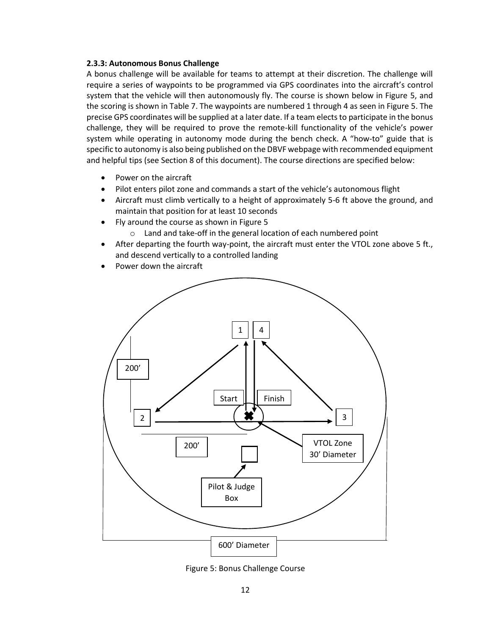#### **2.3.3: Autonomous Bonus Challenge**

A bonus challenge will be available for teams to attempt at their discretion. The challenge will require a series of waypoints to be programmed via GPS coordinates into the aircraft's control system that the vehicle will then autonomously fly. The course is shown below in Figure 5, and the scoring is shown in Table 7. The waypoints are numbered 1 through 4 as seen in Figure 5. The precise GPS coordinates will be supplied at a later date. If a team elects to participate in the bonus challenge, they will be required to prove the remote-kill functionality of the vehicle's power system while operating in autonomy mode during the bench check. A "how-to" guide that is specific to autonomy is also being published on the DBVF webpage with recommended equipment and helpful tips (see Section 8 of this document). The course directions are specified below:

- Power on the aircraft
- Pilot enters pilot zone and commands a start of the vehicle's autonomous flight
- Aircraft must climb vertically to a height of approximately 5-6 ft above the ground, and maintain that position for at least 10 seconds
- Fly around the course as shown in Figure 5
	- o Land and take-off in the general location of each numbered point
- After departing the fourth way-point, the aircraft must enter the VTOL zone above 5 ft., and descend vertically to a controlled landing
- Power down the aircraft



Figure 5: Bonus Challenge Course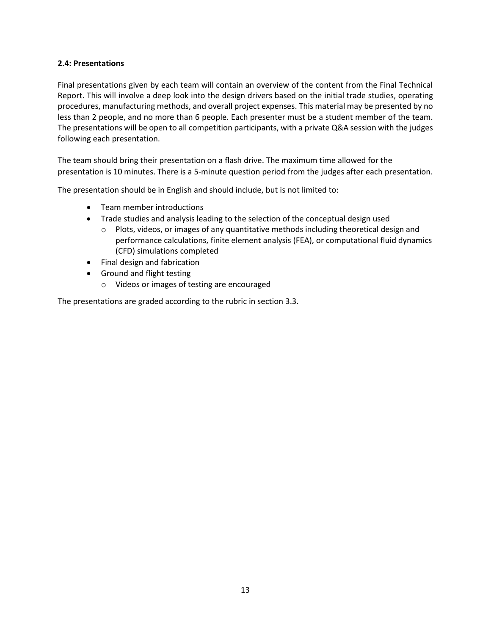# **2.4: Presentations**

Final presentations given by each team will contain an overview of the content from the Final Technical Report. This will involve a deep look into the design drivers based on the initial trade studies, operating procedures, manufacturing methods, and overall project expenses. This material may be presented by no less than 2 people, and no more than 6 people. Each presenter must be a student member of the team. The presentations will be open to all competition participants, with a private Q&A session with the judges following each presentation.

The team should bring their presentation on a flash drive. The maximum time allowed for the presentation is 10 minutes. There is a 5-minute question period from the judges after each presentation.

The presentation should be in English and should include, but is not limited to:

- Team member introductions
- Trade studies and analysis leading to the selection of the conceptual design used
	- $\circ$  Plots, videos, or images of any quantitative methods including theoretical design and performance calculations, finite element analysis (FEA), or computational fluid dynamics (CFD) simulations completed
- Final design and fabrication
- Ground and flight testing
	- o Videos or images of testing are encouraged

The presentations are graded according to the rubric in section 3.3.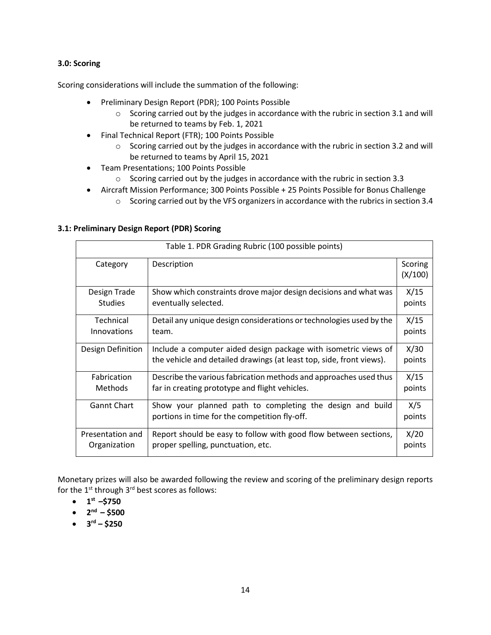# **3.0: Scoring**

Scoring considerations will include the summation of the following:

- Preliminary Design Report (PDR); 100 Points Possible
	- o Scoring carried out by the judges in accordance with the rubric in section 3.1 and will be returned to teams by Feb. 1, 2021
- Final Technical Report (FTR); 100 Points Possible
	- o Scoring carried out by the judges in accordance with the rubric in section 3.2 and will be returned to teams by April 15, 2021
- Team Presentations; 100 Points Possible
	- o Scoring carried out by the judges in accordance with the rubric in section 3.3
- Aircraft Mission Performance; 300 Points Possible + 25 Points Possible for Bonus Challenge
	- $\circ$  Scoring carried out by the VFS organizers in accordance with the rubrics in section 3.4

# **3.1: Preliminary Design Report (PDR) Scoring**

| Table 1. PDR Grading Rubric (100 possible points) |                                                                                                                                         |                    |
|---------------------------------------------------|-----------------------------------------------------------------------------------------------------------------------------------------|--------------------|
| Category                                          | Description                                                                                                                             | Scoring<br>(X/100) |
| Design Trade                                      | Show which constraints drove major design decisions and what was                                                                        | X/15               |
| <b>Studies</b>                                    | eventually selected.                                                                                                                    | points             |
| Technical                                         | Detail any unique design considerations or technologies used by the                                                                     | X/15               |
| Innovations                                       | team.                                                                                                                                   | points             |
| Design Definition                                 | Include a computer aided design package with isometric views of<br>the vehicle and detailed drawings (at least top, side, front views). | X/30<br>points     |
| <b>Fabrication</b>                                | Describe the various fabrication methods and approaches used thus                                                                       | X/15               |
| <b>Methods</b>                                    | far in creating prototype and flight vehicles.                                                                                          | points             |
| <b>Gannt Chart</b>                                | Show your planned path to completing the design and build<br>portions in time for the competition fly-off.                              | X/5<br>points      |
| Presentation and                                  | Report should be easy to follow with good flow between sections,                                                                        | X/20               |
| Organization                                      | proper spelling, punctuation, etc.                                                                                                      | points             |

Monetary prizes will also be awarded following the review and scoring of the preliminary design reports for the  $1^{st}$  through  $3^{rd}$  best scores as follows:

- $\bullet$  **1**<sup>st</sup> –\$750
- $\bullet$  2<sup>nd</sup> \$500
- $\bullet$  3<sup>rd</sup> \$250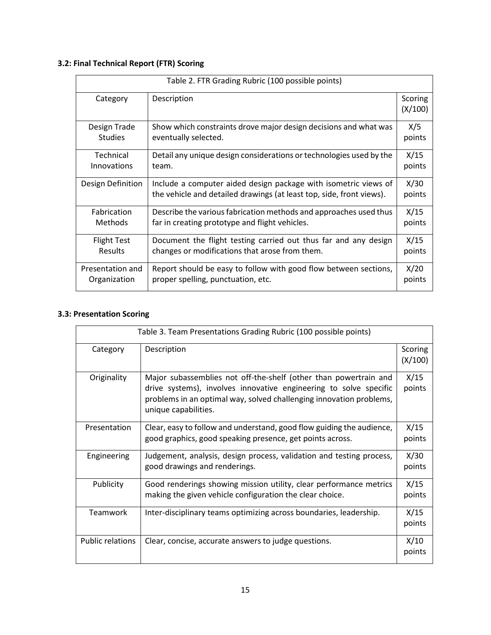# **3.2: Final Technical Report (FTR) Scoring**

| Table 2. FTR Grading Rubric (100 possible points) |                                                                                                                                         |                    |
|---------------------------------------------------|-----------------------------------------------------------------------------------------------------------------------------------------|--------------------|
| Category                                          | Description                                                                                                                             | Scoring<br>(X/100) |
| Design Trade                                      | Show which constraints drove major design decisions and what was                                                                        | X/5                |
| <b>Studies</b>                                    | eventually selected.                                                                                                                    | points             |
| Technical                                         | Detail any unique design considerations or technologies used by the                                                                     | X/15               |
| Innovations                                       | team.                                                                                                                                   | points             |
| Design Definition                                 | Include a computer aided design package with isometric views of<br>the vehicle and detailed drawings (at least top, side, front views). | X/30<br>points     |
| <b>Fabrication</b>                                | Describe the various fabrication methods and approaches used thus                                                                       | X/15               |
| <b>Methods</b>                                    | far in creating prototype and flight vehicles.                                                                                          | points             |
| <b>Flight Test</b>                                | Document the flight testing carried out thus far and any design                                                                         | X/15               |
| <b>Results</b>                                    | changes or modifications that arose from them.                                                                                          | points             |
| Presentation and                                  | Report should be easy to follow with good flow between sections,                                                                        | X/20               |
| Organization                                      | proper spelling, punctuation, etc.                                                                                                      | points             |

# **3.3: Presentation Scoring**

| Table 3. Team Presentations Grading Rubric (100 possible points) |                                                                                                                                                                                                                                      |                    |
|------------------------------------------------------------------|--------------------------------------------------------------------------------------------------------------------------------------------------------------------------------------------------------------------------------------|--------------------|
| Category                                                         | Description                                                                                                                                                                                                                          | Scoring<br>(X/100) |
| Originality                                                      | Major subassemblies not off-the-shelf (other than powertrain and<br>drive systems), involves innovative engineering to solve specific<br>problems in an optimal way, solved challenging innovation problems,<br>unique capabilities. | X/15<br>points     |
| Presentation                                                     | Clear, easy to follow and understand, good flow guiding the audience,<br>good graphics, good speaking presence, get points across.                                                                                                   | X/15<br>points     |
| Engineering                                                      | Judgement, analysis, design process, validation and testing process,<br>good drawings and renderings.                                                                                                                                | X/30<br>points     |
| Publicity                                                        | Good renderings showing mission utility, clear performance metrics<br>making the given vehicle configuration the clear choice.                                                                                                       | X/15<br>points     |
| Teamwork                                                         | Inter-disciplinary teams optimizing across boundaries, leadership.                                                                                                                                                                   | X/15<br>points     |
| <b>Public relations</b>                                          | Clear, concise, accurate answers to judge questions.                                                                                                                                                                                 | X/10<br>points     |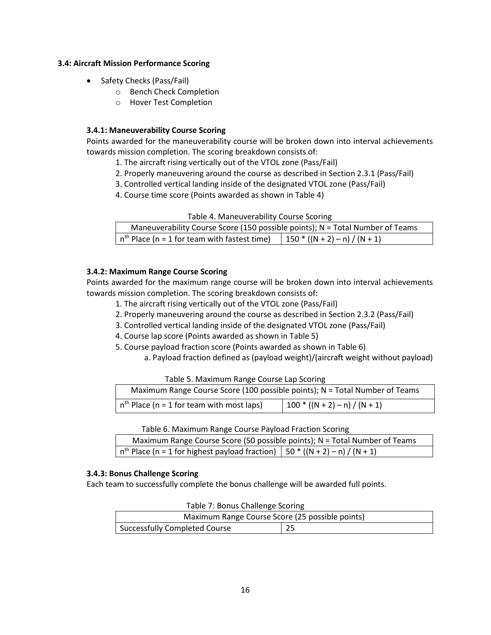#### **3.4: Aircraft Mission Performance Scoring**

- Safety Checks (Pass/Fail)
	- o Bench Check Completion
	- o Hover Test Completion

# **3.4.1: Maneuverability Course Scoring**

Points awarded for the maneuverability course will be broken down into interval achievements towards mission completion. The scoring breakdown consists of:

- 1. The aircraft rising vertically out of the VTOL zone (Pass/Fail)
- 2. Properly maneuvering around the course as described in Section 2.3.1 (Pass/Fail)
- 3. Controlled vertical landing inside of the designated VTOL zone (Pass/Fail)
- 4. Course time score (Points awarded as shown in Table 4)

| Maneuverability Course Score (150 possible points); N = Total Number of Teams                           |  |  |
|---------------------------------------------------------------------------------------------------------|--|--|
| $\left  n^{th}$ Place (n = 1 for team with fastest time) $\left  150 * ((N + 2) - n) / (N + 1) \right $ |  |  |

# **3.4.2: Maximum Range Course Scoring**

Points awarded for the maximum range course will be broken down into interval achievements towards mission completion. The scoring breakdown consists of:

- 1. The aircraft rising vertically out of the VTOL zone (Pass/Fail)
- 2. Properly maneuvering around the course as described in Section 2.3.2 (Pass/Fail)
- 3. Controlled vertical landing inside of the designated VTOL zone (Pass/Fail)
- 4. Course lap score (Points awarded as shown in Table 5)
- 5. Course payload fraction score (Points awarded as shown in Table 6)
	- a. Payload fraction defined as (payload weight)/(aircraft weight without payload)

Table 5. Maximum Range Course Lap Scoring

| Maximum Range Course Score (100 possible points); N = Total Number of Teams |                                 |  |  |
|-----------------------------------------------------------------------------|---------------------------------|--|--|
| $nth$ Place (n = 1 for team with most laps)                                 | $100 * ((N + 2) - n) / (N + 1)$ |  |  |

Table 6. Maximum Range Course Payload Fraction Scoring

| Maximum Range Course Score (50 possible points); N = Total Number of Teams         |  |  |
|------------------------------------------------------------------------------------|--|--|
| $n^{th}$ Place (n = 1 for highest payload fraction)   50 * ((N + 2) – n) / (N + 1) |  |  |

# **3.4.3: Bonus Challenge Scoring**

Each team to successfully complete the bonus challenge will be awarded full points.

| Maximum Range Course Score (25 possible points) |    |  |
|-------------------------------------------------|----|--|
| <b>Successfully Completed Course</b>            | 25 |  |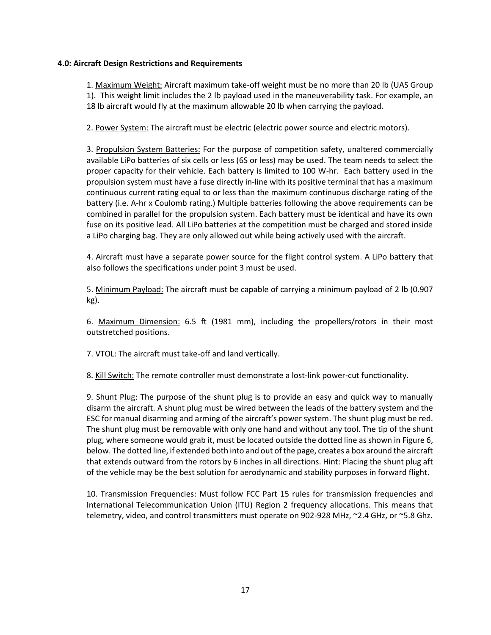#### **4.0: Aircraft Design Restrictions and Requirements**

1. Maximum Weight: Aircraft maximum take-off weight must be no more than 20 lb (UAS Group 1). This weight limit includes the 2 lb payload used in the maneuverability task. For example, an 18 lb aircraft would fly at the maximum allowable 20 lb when carrying the payload.

2. Power System: The aircraft must be electric (electric power source and electric motors).

3. Propulsion System Batteries: For the purpose of competition safety, unaltered commercially available LiPo batteries of six cells or less (6S or less) may be used. The team needs to select the proper capacity for their vehicle. Each battery is limited to 100 W-hr. Each battery used in the propulsion system must have a fuse directly in-line with its positive terminal that has a maximum continuous current rating equal to or less than the maximum continuous discharge rating of the battery (i.e. A-hr x Coulomb rating.) Multiple batteries following the above requirements can be combined in parallel for the propulsion system. Each battery must be identical and have its own fuse on its positive lead. All LiPo batteries at the competition must be charged and stored inside a LiPo charging bag. They are only allowed out while being actively used with the aircraft.

4. Aircraft must have a separate power source for the flight control system. A LiPo battery that also follows the specifications under point 3 must be used.

5. Minimum Payload: The aircraft must be capable of carrying a minimum payload of 2 lb (0.907 kg).

6. Maximum Dimension: 6.5 ft (1981 mm), including the propellers/rotors in their most outstretched positions.

7. VTOL: The aircraft must take-off and land vertically.

8. Kill Switch: The remote controller must demonstrate a lost-link power-cut functionality.

9. Shunt Plug: The purpose of the shunt plug is to provide an easy and quick way to manually disarm the aircraft. A shunt plug must be wired between the leads of the battery system and the ESC for manual disarming and arming of the aircraft's power system. The shunt plug must be red. The shunt plug must be removable with only one hand and without any tool. The tip of the shunt plug, where someone would grab it, must be located outside the dotted line as shown in Figure 6, below. The dotted line, if extended both into and out of the page, creates a box around the aircraft that extends outward from the rotors by 6 inches in all directions. Hint: Placing the shunt plug aft of the vehicle may be the best solution for aerodynamic and stability purposes in forward flight.

10. Transmission Frequencies: Must follow FCC Part 15 rules for transmission frequencies and International Telecommunication Union (ITU) Region 2 frequency allocations. This means that telemetry, video, and control transmitters must operate on 902-928 MHz, ~2.4 GHz, or ~5.8 Ghz.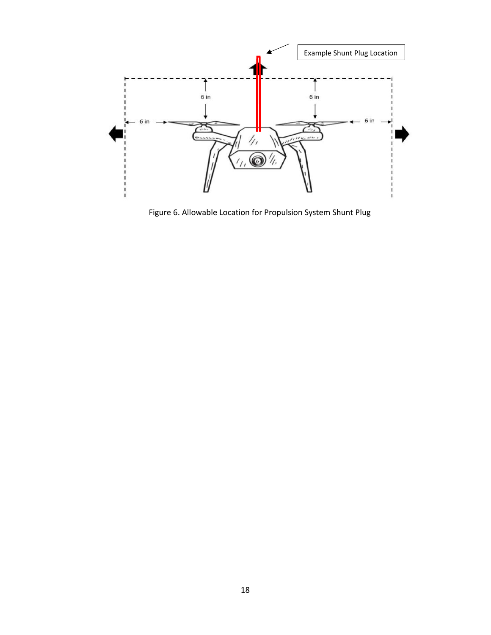

Figure 6. Allowable Location for Propulsion System Shunt Plug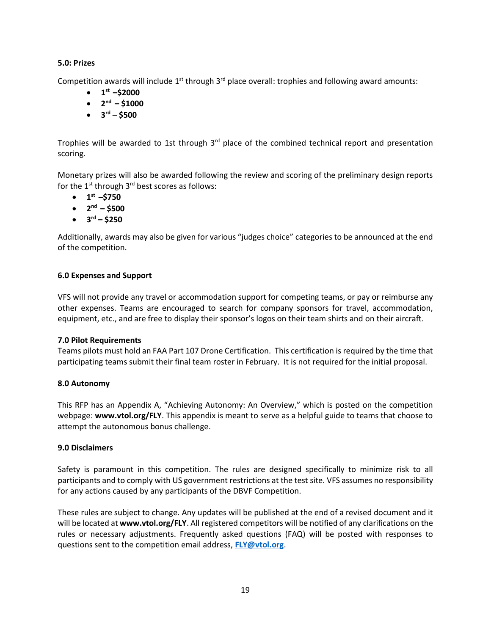# **5.0: Prizes**

Competition awards will include 1<sup>st</sup> through 3<sup>rd</sup> place overall: trophies and following award amounts:

- $\bullet$  1<sup>st</sup> –\$2000
- $\bullet$  2<sup>nd</sup> \$1000
- **3 rd – \$500**

Trophies will be awarded to 1st through 3<sup>rd</sup> place of the combined technical report and presentation scoring.

Monetary prizes will also be awarded following the review and scoring of the preliminary design reports for the  $1^{st}$  through  $3^{rd}$  best scores as follows:

- $\bullet$  **1**<sup>st</sup> –\$750
- $\bullet$  2<sup>nd</sup> \$500
- $\bullet$  3<sup>rd</sup> \$250

Additionally, awards may also be given for various "judges choice" categories to be announced at the end of the competition.

# **6.0 Expenses and Support**

VFS will not provide any travel or accommodation support for competing teams, or pay or reimburse any other expenses. Teams are encouraged to search for company sponsors for travel, accommodation, equipment, etc., and are free to display their sponsor's logos on their team shirts and on their aircraft.

# **7.0 Pilot Requirements**

Teams pilots must hold an FAA Part 107 Drone Certification. This certification is required by the time that participating teams submit their final team roster in February. It is not required for the initial proposal.

# **8.0 Autonomy**

This RFP has an Appendix A, "Achieving Autonomy: An Overview," which is posted on the competition webpage: [www.vtol.org/FLY](http://www.vtol.org/FLY). This appendix is meant to serve as a helpful guide to teams that choose to attempt the autonomous bonus challenge.

# **9.0 Disclaimers**

Safety is paramount in this competition. The rules are designed specifically to minimize risk to all participants and to comply with US government restrictions at the test site. VFS assumes no responsibility for any actions caused by any participants of the DBVF Competition.

These rules are subject to change. Any updates will be published at the end of a revised document and it will be located at **[www.vtol.org/FLY](http://www.vtol.org/FLY)**. All registered competitors will be notified of any clarifications on the rules or necessary adjustments. Frequently asked questions (FAQ) will be posted with responses to questions sent to the competition email address, **[FLY@vtol.org](mailto:FLY@vtol.org)**.